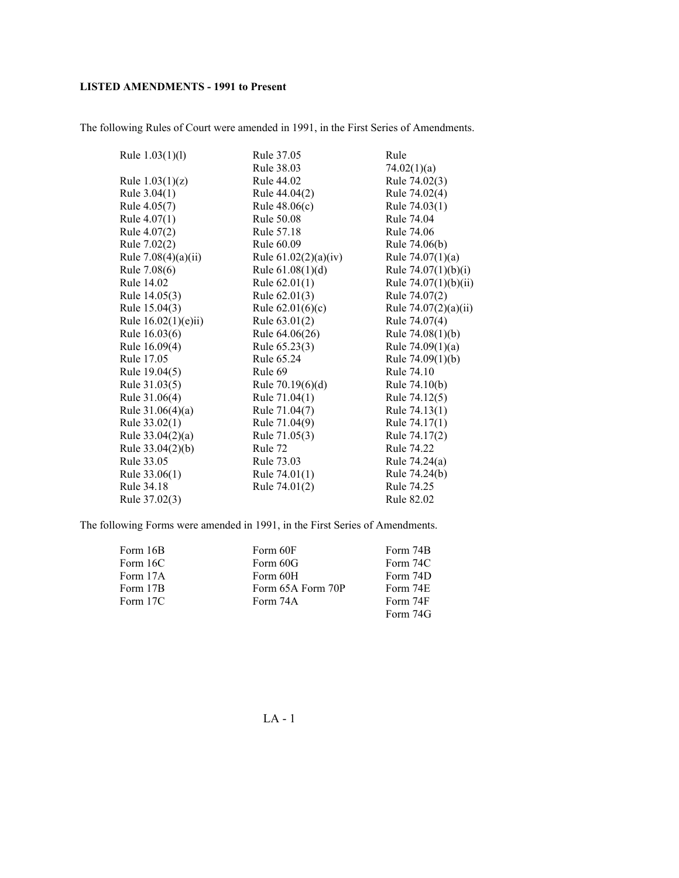The following Rules of Court were amended in 1991, in the First Series of Amendments.

| Rule $1.03(1)(1)$     | Rule 37.05             | Rule                   |
|-----------------------|------------------------|------------------------|
|                       | Rule 38.03             | 74.02(1)(a)            |
| Rule $1.03(1)(z)$     | Rule 44.02             | Rule 74.02(3)          |
| Rule $3.04(1)$        | Rule 44.04(2)          | Rule 74.02(4)          |
| Rule 4.05(7)          | Rule $48.06(c)$        | Rule 74.03(1)          |
| Rule $4.07(1)$        | Rule 50.08             | Rule 74.04             |
| Rule 4.07(2)          | Rule 57.18             | Rule 74.06             |
| Rule 7.02(2)          | Rule 60.09             | Rule 74.06(b)          |
| Rule $7.08(4)(a)(ii)$ | Rule $61.02(2)(a)(iv)$ | Rule $74.07(1)(a)$     |
| Rule 7.08(6)          | Rule $61.08(1)(d)$     | Rule $74.07(1)(b)(i)$  |
| Rule 14.02            | Rule $62.01(1)$        | Rule 74.07(1)(b)(ii)   |
| Rule 14.05(3)         | Rule 62.01(3)          | Rule 74.07(2)          |
| Rule 15.04(3)         | Rule $62.01(6)(c)$     | Rule $74.07(2)(a)(ii)$ |
| Rule $16.02(1)(e)ii)$ | Rule 63.01(2)          | Rule 74.07(4)          |
| Rule 16.03(6)         | Rule 64.06(26)         | Rule $74.08(1)(b)$     |
| Rule 16.09(4)         | Rule 65.23(3)          | Rule $74.09(1)(a)$     |
| Rule 17.05            | Rule 65.24             | Rule 74.09(1)(b)       |
| Rule 19.04(5)         | Rule 69                | Rule 74.10             |
| Rule 31.03(5)         | Rule $70.19(6)(d)$     | Rule 74.10(b)          |
| Rule 31.06(4)         | Rule 71.04(1)          | Rule 74.12(5)          |
| Rule $31.06(4)(a)$    | Rule 71.04(7)          | Rule 74.13(1)          |
| Rule 33.02(1)         | Rule 71.04(9)          | Rule 74.17(1)          |
| Rule $33.04(2)(a)$    | Rule 71.05(3)          | Rule 74.17(2)          |
| Rule $33.04(2)(b)$    | Rule 72                | Rule 74.22             |
| Rule 33.05            | Rule 73.03             | Rule 74.24(a)          |
| Rule 33.06(1)         | Rule 74.01(1)          | Rule 74.24(b)          |
| Rule 34.18            | Rule 74.01(2)          | Rule 74.25             |
| Rule 37.02(3)         |                        | Rule 82.02             |

The following Forms were amended in 1991, in the First Series of Amendments.

| Form 16B | Form 60F          | Form 74B |
|----------|-------------------|----------|
| Form 16C | Form 60G          | Form 74C |
| Form 17A | Form 60H          | Form 74D |
| Form 17B | Form 65A Form 70P | Form 74E |
| Form 17C | Form 74A          | Form 74F |
|          |                   | Form 74G |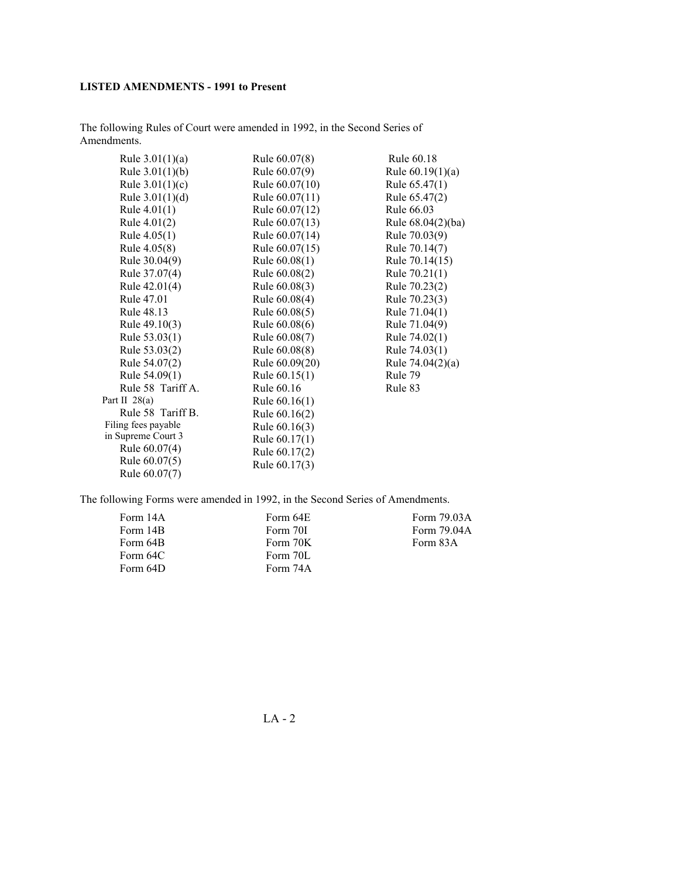The following Rules of Court were amended in 1992, in the Second Series of Amendments.

| Rule $3.01(1)(a)$   | Rule 60.07(8)    | Rule 60.18         |
|---------------------|------------------|--------------------|
| Rule $3.01(1)(b)$   | Rule 60.07(9)    | Rule $60.19(1)(a)$ |
| Rule $3.01(1)(c)$   | Rule $60.07(10)$ | Rule $65.47(1)$    |
| Rule $3.01(1)(d)$   | Rule 60.07(11)   | Rule 65.47(2)      |
| Rule $4.01(1)$      | Rule 60.07(12)   | Rule 66.03         |
| Rule $4.01(2)$      | Rule 60.07(13)   | Rule 68.04(2)(ba)  |
| Rule $4.05(1)$      | Rule 60.07(14)   | Rule 70.03(9)      |
| Rule 4.05(8)        | Rule 60.07(15)   | Rule 70.14(7)      |
| Rule 30.04(9)       | Rule $60.08(1)$  | Rule 70.14(15)     |
| Rule 37.07(4)       | Rule 60.08(2)    | Rule $70.21(1)$    |
| Rule 42.01(4)       | Rule 60.08(3)    | Rule 70.23(2)      |
| Rule 47.01          | Rule 60.08(4)    | Rule 70.23(3)      |
| Rule 48.13          | Rule 60.08(5)    | Rule 71.04(1)      |
| Rule 49.10(3)       | Rule 60.08(6)    | Rule 71.04(9)      |
| Rule 53.03(1)       | Rule 60.08(7)    | Rule 74.02(1)      |
| Rule 53.03(2)       | Rule 60.08(8)    | Rule 74.03(1)      |
| Rule 54.07(2)       | Rule 60.09(20)   | Rule $74.04(2)(a)$ |
| Rule 54.09(1)       | Rule $60.15(1)$  | Rule 79            |
| Rule 58 Tariff A.   | Rule 60.16       | Rule 83            |
| Part II $28(a)$     | Rule $60.16(1)$  |                    |
| Rule 58 Tariff B.   | Rule 60.16(2)    |                    |
| Filing fees payable | Rule 60.16(3)    |                    |
| in Supreme Court 3  | Rule 60.17(1)    |                    |
| Rule 60.07(4)       | Rule 60.17(2)    |                    |
| Rule 60.07(5)       | Rule 60.17(3)    |                    |
| Rule 60.07(7)       |                  |                    |

The following Forms were amended in 1992, in the Second Series of Amendments.

| Form 14A | Form 64E | Form 79.03A |
|----------|----------|-------------|
| Form 14B | Form 70I | Form 79.04A |
| Form 64B | Form 70K | Form 83A    |
| Form 64C | Form 70L |             |
| Form 64D | Form 74A |             |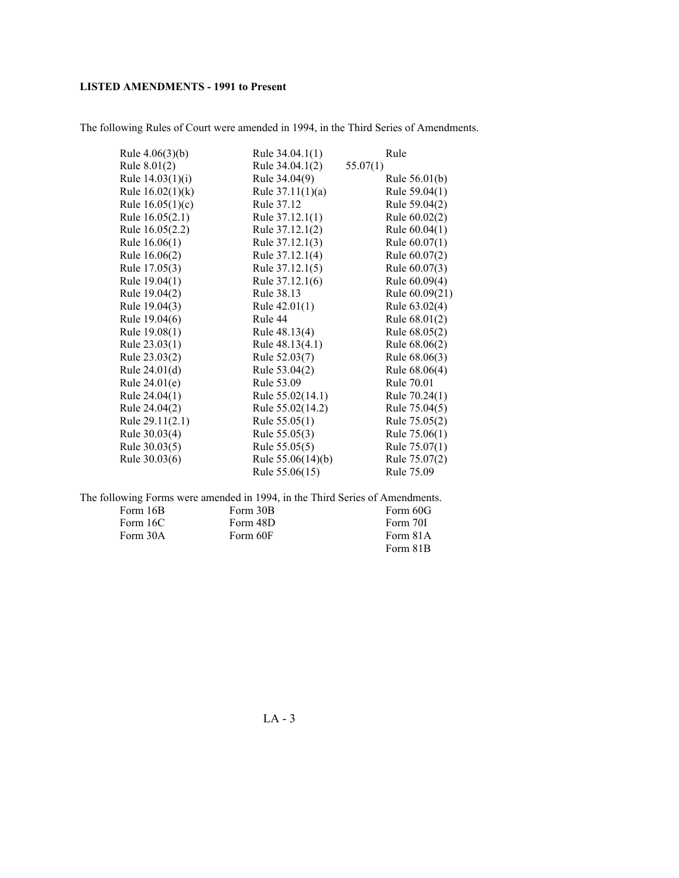The following Rules of Court were amended in 1994, in the Third Series of Amendments.

| Rule $4.06(3)(b)$  | Rule 34.04.1(1)     | Rule            |
|--------------------|---------------------|-----------------|
| Rule $8.01(2)$     | Rule 34.04.1(2)     | 55.07(1)        |
| Rule 14.03(1)(i)   | Rule 34.04(9)       | Rule $56.01(b)$ |
| Rule $16.02(1)(k)$ | Rule $37.11(1)(a)$  | Rule 59.04(1)   |
| Rule $16.05(1)(c)$ | Rule 37.12          | Rule 59.04(2)   |
| Rule 16.05(2.1)    | Rule 37.12.1(1)     | Rule 60.02(2)   |
| Rule 16.05(2.2)    | Rule 37.12.1(2)     | Rule 60.04(1)   |
| Rule $16.06(1)$    | Rule 37.12.1(3)     | Rule $60.07(1)$ |
| Rule 16.06(2)      | Rule 37.12.1(4)     | Rule 60.07(2)   |
| Rule 17.05(3)      | Rule 37.12.1(5)     | Rule 60.07(3)   |
| Rule 19.04(1)      | Rule 37.12.1(6)     | Rule 60.09(4)   |
| Rule 19.04(2)      | Rule 38.13          | Rule 60.09(21)  |
| Rule 19.04(3)      | Rule $42.01(1)$     | Rule 63.02(4)   |
| Rule 19.04(6)      | Rule 44             | Rule 68.01(2)   |
| Rule 19.08(1)      | Rule 48.13(4)       | Rule 68.05(2)   |
| Rule 23.03(1)      | Rule 48.13(4.1)     | Rule 68.06(2)   |
| Rule 23.03(2)      | Rule 52.03(7)       | Rule 68.06(3)   |
| Rule 24.01(d)      | Rule 53.04(2)       | Rule 68.06(4)   |
| Rule 24.01(e)      | Rule 53.09          | Rule 70.01      |
| Rule 24.04(1)      | Rule 55.02(14.1)    | Rule 70.24(1)   |
| Rule 24.04(2)      | Rule 55.02(14.2)    | Rule 75.04(5)   |
| Rule 29.11(2.1)    | Rule 55.05(1)       | Rule 75.05(2)   |
| Rule 30.03(4)      | Rule 55.05(3)       | Rule $75.06(1)$ |
| Rule 30.03(5)      | Rule 55.05(5)       | Rule 75.07(1)   |
| Rule 30.03(6)      | Rule $55.06(14)(b)$ | Rule 75.07(2)   |
|                    | Rule 55.06(15)      | Rule 75.09      |

The following Forms were amended in 1994, in the Third Series of Amendments. Form 16B Form 16C Form 30A Form 30B Form 48D Form 60F Form 60G Form 70I Form 81A Form 81B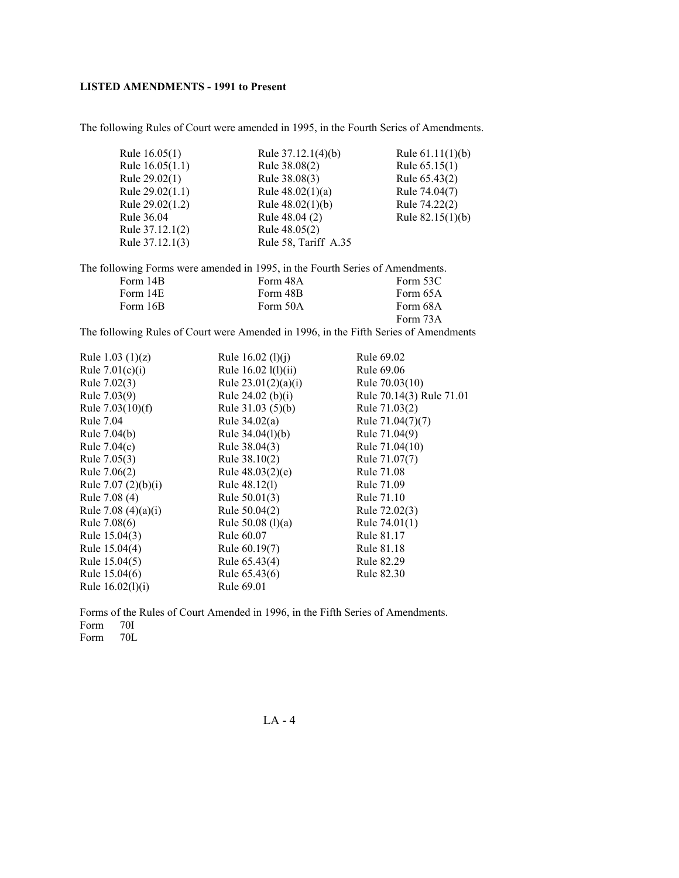The following Rules of Court were amended in 1995, in the Fourth Series of Amendments.

| Rule $16.05(1)$   | Rule 37.12.1(4)(b)   | Rule $61.11(1)(b)$ |
|-------------------|----------------------|--------------------|
| Rule $16.05(1.1)$ | Rule 38.08(2)        | Rule $65.15(1)$    |
| Rule 29.02(1)     | Rule 38.08(3)        | Rule 65.43(2)      |
| Rule $29.02(1.1)$ | Rule $48.02(1)(a)$   | Rule 74.04(7)      |
| Rule 29.02(1.2)   | Rule $48.02(1)(b)$   | Rule 74.22(2)      |
| Rule 36.04        | Rule 48.04 (2)       | Rule $82.15(1)(b)$ |
| Rule 37.12.1(2)   | Rule 48.05(2)        |                    |
| Rule 37.12.1(3)   | Rule 58, Tariff A.35 |                    |
|                   |                      |                    |

|          | The following Forms were amended in 1995, in the Fourth Series of Amendments. |          |
|----------|-------------------------------------------------------------------------------|----------|
| Form 14B | Form 48A                                                                      | Form 53C |
| Form 14E | Form 48B                                                                      | Form 65A |
| Form 16B | Form 50A                                                                      | Form 68A |
|          |                                                                               | Form 73A |

The following Rules of Court were Amended in 1996, in the Fifth Series of Amendments

| Rule 1.03 $(1)(z)$    | Rule $16.02$ (1)(j)   | Rule 69.02               |
|-----------------------|-----------------------|--------------------------|
| Rule $7.01(c)(i)$     | Rule 16.02 l(l)(ii)   | Rule 69.06               |
| Rule 7.02(3)          | Rule $23.01(2)(a)(i)$ | Rule 70.03(10)           |
| Rule 7.03(9)          | Rule 24.02 (b)(i)     | Rule 70.14(3) Rule 71.01 |
| Rule $7.03(10)(f)$    | Rule $31.03(5)(b)$    | Rule 71.03(2)            |
| Rule 7.04             | Rule $34.02(a)$       | Rule 71.04(7)(7)         |
| Rule 7.04(b)          | Rule $34.04(l)(b)$    | Rule 71.04(9)            |
| Rule $7.04(c)$        | Rule 38.04(3)         | Rule 71.04(10)           |
| Rule 7.05(3)          | Rule 38.10(2)         | Rule 71.07(7)            |
| Rule 7.06(2)          | Rule $48.03(2)(e)$    | Rule 71.08               |
| Rule 7.07 $(2)(b)(i)$ | Rule 48.12(1)         | Rule 71.09               |
| Rule 7.08 (4)         | Rule $50.01(3)$       | Rule 71.10               |
| Rule 7.08 $(4)(a)(i)$ | Rule 50.04(2)         | Rule 72.02(3)            |
| Rule 7.08(6)          | Rule $50.08$ (l)(a)   | Rule $74.01(1)$          |
| Rule 15.04(3)         | Rule 60.07            | Rule 81.17               |
| Rule 15.04(4)         | Rule 60.19(7)         | Rule 81.18               |
| Rule 15.04(5)         | Rule 65.43(4)         | Rule 82.29               |
| Rule 15.04(6)         | Rule 65.43(6)         | Rule 82.30               |
| Rule $16.02(l)(i)$    | Rule 69.01            |                          |

Forms of the Rules of Court Amended in 1996, in the Fifth Series of Amendments. Form 70I<br>Form 70L

Form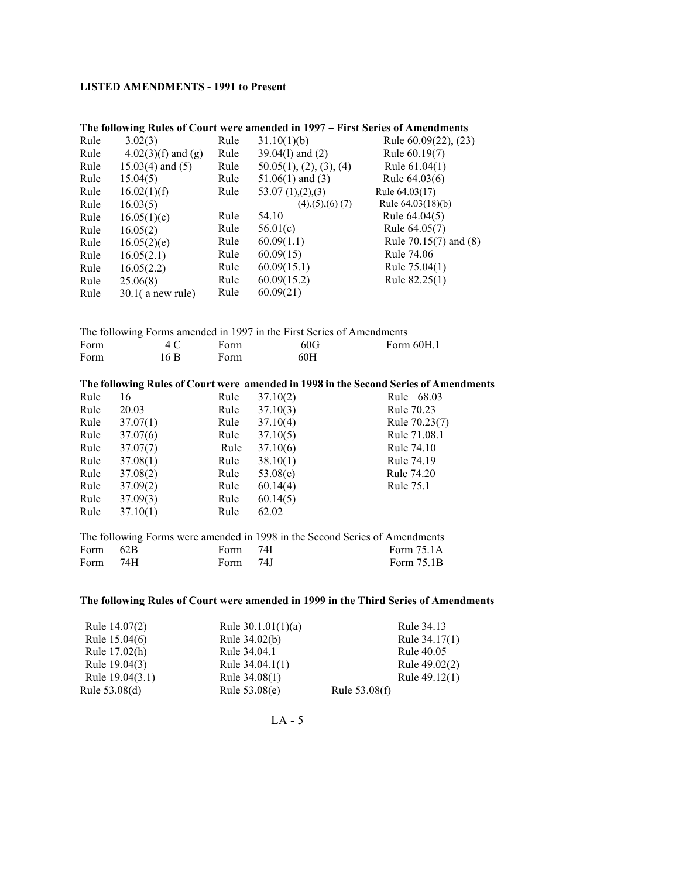|      |                      |      | The following Kutes of Court were amended in 1997 – First Series of Amendments |                                                                                      |
|------|----------------------|------|--------------------------------------------------------------------------------|--------------------------------------------------------------------------------------|
| Rule | 3.02(3)              | Rule | 31.10(1)(b)                                                                    | Rule 60.09(22), (23)                                                                 |
| Rule | $4.02(3)(f)$ and (g) | Rule | 39.04(1) and (2)                                                               | Rule 60.19(7)                                                                        |
| Rule | $15.03(4)$ and $(5)$ | Rule | 50.05(1), (2), (3), (4)                                                        | Rule 61.04(1)                                                                        |
| Rule | 15.04(5)             | Rule | $51.06(1)$ and $(3)$                                                           | Rule 64.03(6)                                                                        |
| Rule | 16.02(1)(f)          | Rule | 53.07 $(1)$ , $(2)$ , $(3)$                                                    | Rule 64.03(17)                                                                       |
| Rule | 16.03(5)             |      | $(4)$ , $(5)$ , $(6)$ $(7)$                                                    | Rule 64.03(18)(b)                                                                    |
| Rule | 16.05(1)(c)          | Rule | 54.10                                                                          | Rule 64.04(5)                                                                        |
| Rule | 16.05(2)             | Rule | 56.01(c)                                                                       | Rule 64.05(7)                                                                        |
| Rule | 16.05(2)(e)          | Rule | 60.09(1.1)                                                                     | Rule 70.15(7) and (8)                                                                |
| Rule | 16.05(2.1)           | Rule | 60.09(15)                                                                      | Rule 74.06                                                                           |
| Rule | 16.05(2.2)           | Rule | 60.09(15.1)                                                                    | Rule 75.04(1)                                                                        |
| Rule | 25.06(8)             | Rule | 60.09(15.2)                                                                    | Rule 82.25(1)                                                                        |
| Rule | $30.1$ (a new rule)  | Rule | 60.09(21)                                                                      |                                                                                      |
|      |                      |      |                                                                                |                                                                                      |
|      |                      |      |                                                                                |                                                                                      |
|      |                      |      | The following Forms amended in 1997 in the First Series of Amendments          |                                                                                      |
| Form | 4C                   | Form | 60G                                                                            | Form 60H.1                                                                           |
| Form | 16B                  | Form | 60H                                                                            |                                                                                      |
|      |                      |      |                                                                                |                                                                                      |
|      |                      |      |                                                                                | The following Rules of Court were amended in 1998 in the Second Series of Amendments |
| Rule | 16                   | Rule | 37.10(2)                                                                       | Rule 68.03                                                                           |
| Rule | 20.03                | Rule | 37.10(3)                                                                       | Rule 70.23                                                                           |
| Rule | 37.07(1)             | Rule | 37.10(4)                                                                       | Rule 70.23(7)                                                                        |
| Rule | 37.07(6)             | Rule | 37.10(5)                                                                       | Rule 71.08.1                                                                         |
| Rule | 37.07(7)             | Rule | 37.10(6)                                                                       | Rule 74.10                                                                           |
| Rule | 37.08(1)             | Rule | 38.10(1)                                                                       | Rule 74.19                                                                           |
| Rule | 37.08(2)             | Rule | 53.08(e)                                                                       | Rule 74.20                                                                           |
| Rule | 37.09(2)             | Rule | 60.14(4)                                                                       | Rule 75.1                                                                            |
| Rule | 37.09(3)             | Rule | 60.14(5)                                                                       |                                                                                      |
|      |                      |      |                                                                                |                                                                                      |
| Rule |                      | Rule | 62.02                                                                          |                                                                                      |
|      | 37.10(1)             |      |                                                                                |                                                                                      |
|      |                      |      | The following Forms were amended in 1998 in the Second Series of Amendments    |                                                                                      |
| Form | 62B                  | Form | 74I                                                                            | Form 75.1A                                                                           |
| Form | 74H                  | Form | 74J                                                                            | Form 75.1B                                                                           |

### The following Rules of Court were amended in 1997 – First Series of Amendments

#### **The following Rules of Court were amended in 1999 in the Third Series of Amendments**

| Rule 14.07(2)   | Rule $30.1.01(1)(a)$ | Rule 34.13      |
|-----------------|----------------------|-----------------|
| Rule 15.04(6)   | Rule 34.02(b)        | Rule 34.17(1)   |
| Rule 17.02(h)   | Rule 34.04.1         | Rule 40.05      |
| Rule 19.04(3)   | Rule $34.04.1(1)$    | Rule 49.02(2)   |
| Rule 19.04(3.1) | Rule 34.08(1)        | Rule 49.12(1)   |
| Rule 53.08(d)   | Rule 53.08(e)        | Rule $53.08(f)$ |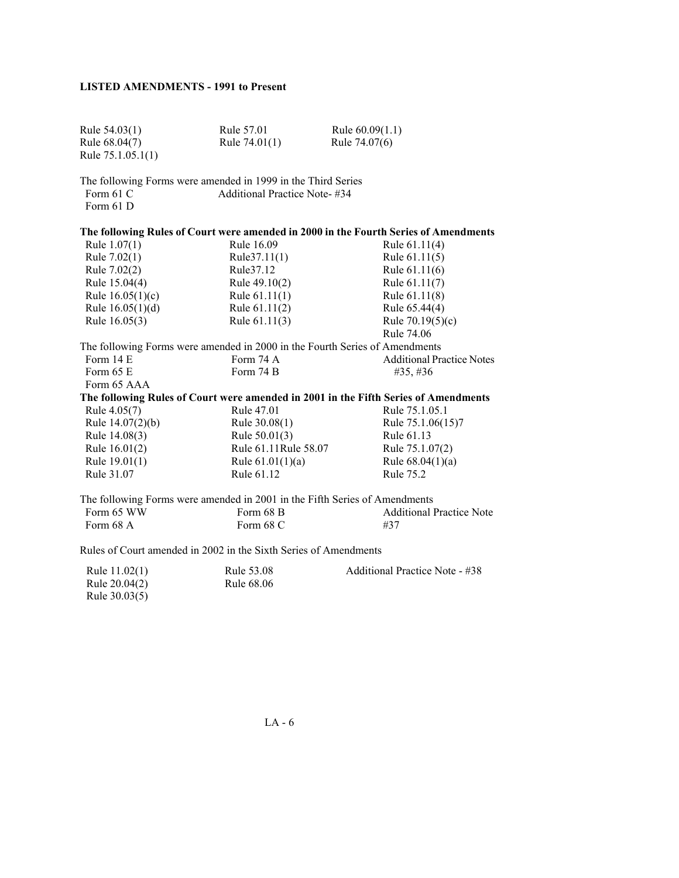| Rule $54.03(1)$    | Rule 57.01                                                   | Rule $60.09(1.1)$                                                                    |
|--------------------|--------------------------------------------------------------|--------------------------------------------------------------------------------------|
| Rule 68.04(7)      | Rule $74.01(1)$                                              | Rule 74.07(6)                                                                        |
| Rule 75.1.05.1(1)  |                                                              |                                                                                      |
|                    | The following Forms were amended in 1999 in the Third Series |                                                                                      |
| Form 61 C          | Additional Practice Note-#34                                 |                                                                                      |
| Form 61 D          |                                                              |                                                                                      |
|                    |                                                              | The following Rules of Court were amended in 2000 in the Fourth Series of Amendments |
| Rule $1.07(1)$     | Rule 16.09                                                   | Rule 61.11(4)                                                                        |
| Rule $7.02(1)$     | Rule37.11(1)                                                 | Rule $61.11(5)$                                                                      |
| Rule 7.02(2)       | Rule 37.12                                                   | Rule 61.11(6)                                                                        |
| Rule 15.04(4)      | Rule 49.10(2)                                                | Rule 61.11(7)                                                                        |
| Rule $16.05(1)(c)$ | Rule $61.11(1)$                                              | Rule 61.11(8)                                                                        |
| Rule $16.05(1)(d)$ | Rule $61.11(2)$                                              | Rule 65.44(4)                                                                        |
| Rule 16.05(3)      | Rule $61.11(3)$                                              | Rule $70.19(5)(c)$                                                                   |
|                    |                                                              | Rule 74.06                                                                           |
|                    |                                                              | The following Forms were amended in 2000 in the Fourth Series of Amendments          |
| Form 14 E          | Form 74 A                                                    | <b>Additional Practice Notes</b>                                                     |
|                    |                                                              |                                                                                      |

| Rule 15.04(4)      | Rule $49.10(2)$                                                                                                                                                                                                                     | Rule $61.11(7)$                  |
|--------------------|-------------------------------------------------------------------------------------------------------------------------------------------------------------------------------------------------------------------------------------|----------------------------------|
| Rule $16.05(1)(c)$ | Rule $61.11(1)$                                                                                                                                                                                                                     | Rule 61.11(8)                    |
| Rule $16.05(1)(d)$ | Rule $61.11(2)$                                                                                                                                                                                                                     | Rule 65.44(4)                    |
| Rule 16.05(3)      | Rule $61.11(3)$                                                                                                                                                                                                                     | Rule $70.19(5)(c)$               |
|                    |                                                                                                                                                                                                                                     | Rule 74.06                       |
|                    | The following Forms were amended in 2000 in the Fourth Series of Amendments                                                                                                                                                         |                                  |
| Form 14 E          | Form 74 A                                                                                                                                                                                                                           | <b>Additional Practice Notes</b> |
| Form $65E$         | Form 74 B                                                                                                                                                                                                                           | #35,#36                          |
| Form 65 AAA        |                                                                                                                                                                                                                                     |                                  |
|                    | The following Rules of Court were amended in 2001 in the Fifth Series of Amendments                                                                                                                                                 |                                  |
| Rule 4.05(7)       | Rule 47.01                                                                                                                                                                                                                          | Rule 75.1.05.1                   |
| Rule $14.07(2)(b)$ | Rule 30.08(1)                                                                                                                                                                                                                       | Rule 75.1.06(15)7                |
| Rule 14.08(3)      | Rule 50.01(3)                                                                                                                                                                                                                       | Rule 61.13                       |
| Rule 16.01(2)      | Rule 61.11 Rule 58.07                                                                                                                                                                                                               | Rule 75.1.07(2)                  |
| Rule 19.01(1)      | Rule $61.01(1)(a)$                                                                                                                                                                                                                  | Rule $68.04(1)(a)$               |
| Rule 31.07         | Rule 61.12                                                                                                                                                                                                                          | Rule 75.2                        |
|                    | The following Forms were amended in 2001 in the Fifth Series of Amendments                                                                                                                                                          |                                  |
| Form 65 WW         | Form 68 B                                                                                                                                                                                                                           | <b>Additional Practice Note</b>  |
| Form 68 A          | Form 68 C                                                                                                                                                                                                                           | #37                              |
|                    | $\mathbf{D}$ and $\mathbf{L} \in \mathcal{L}$ and $\mathbf{L}$ and $\mathbf{L} \in \mathcal{L}$ and $\mathbf{L} \in \mathcal{L}$ and $\mathbf{L} \in \mathcal{L}$ and $\mathbf{L} \in \mathcal{L}$ and $\mathbf{L} \in \mathcal{L}$ |                                  |

Rules of Court amended in 2002 in the Sixth Series of Amendments

| Rule $11.02(1)$ | Rule 53.08 | Additional Practice Note - #38 |
|-----------------|------------|--------------------------------|
| Rule 20.04(2)   | Rule 68.06 |                                |
| Rule 30.03(5)   |            |                                |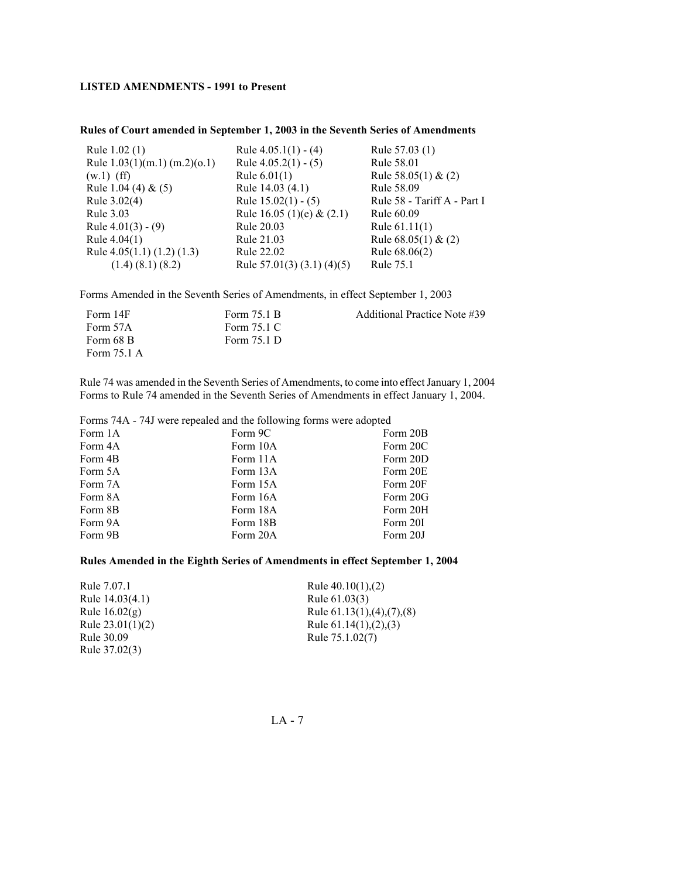### **Rules of Court amended in September 1, 2003 in the Seventh Series of Amendments**

| Rule 1.02 (1)<br>Rule $1.03(1)(m.1)(m.2)(0.1)$<br>$(w.1)$ (ff) | Rule $4.05.1(1) - (4)$<br>Rule $4.05.2(1) - (5)$<br>Rule $6.01(1)$ | Rule 57.03 (1)<br>Rule 58.01<br>Rule $58.05(1)$ & (2) |
|----------------------------------------------------------------|--------------------------------------------------------------------|-------------------------------------------------------|
| Rule 1.04 (4) & $(5)$                                          | Rule 14.03 (4.1)                                                   | Rule 58.09                                            |
| Rule 3.02(4)<br>Rule 3.03                                      | Rule $15.02(1) - (5)$<br>Rule 16.05 (1)(e) & $(2.1)$               | Rule 58 - Tariff A - Part I<br>Rule 60.09             |
| Rule $4.01(3) - (9)$                                           | Rule 20.03                                                         | Rule $61.11(1)$                                       |
| Rule $4.04(1)$                                                 | Rule 21.03                                                         | Rule $68.05(1)$ & $(2)$                               |
| Rule $4.05(1.1) (1.2) (1.3)$<br>$(1.4)$ $(8.1)$ $(8.2)$        | Rule 22.02<br>Rule $57.01(3)(3.1)(4)(5)$                           | Rule 68.06(2)<br>Rule 75.1                            |
|                                                                |                                                                    |                                                       |

Forms Amended in the Seventh Series of Amendments, in effect September 1, 2003

| Form 14F    | Form 75.1 B | Additional Practice Note #39 |
|-------------|-------------|------------------------------|
| Form 57A    | Form 75.1 C |                              |
| Form 68 B   | Form 75.1 D |                              |
| Form 75.1 A |             |                              |

Rule 74 was amended in the Seventh Series of Amendments, to come into effect January 1, 2004 Forms to Rule 74 amended in the Seventh Series of Amendments in effect January 1, 2004.

Forms 74A - 74J were repealed and the following forms were adopted

| Form 1A | Form 9C  | Form 20B |
|---------|----------|----------|
| Form 4A | Form 10A | Form 20C |
| Form 4B | Form 11A | Form 20D |
| Form 5A | Form 13A | Form 20E |
| Form 7A | Form 15A | Form 20F |
| Form 8A | Form 16A | Form 20G |
| Form 8B | Form 18A | Form 20H |
| Form 9A | Form 18B | Form 20I |
| Form 9B | Form 20A | Form 20J |
|         |          |          |

## **Rules Amended in the Eighth Series of Amendments in effect September 1, 2004**

| Rule 7.07.1        | Rule $40.10(1)$ , $(2)$                 |
|--------------------|-----------------------------------------|
| Rule 14.03(4.1)    | Rule 61.03(3)                           |
| Rule $16.02(g)$    | Rule $61.13(1)$ , $(4)$ , $(7)$ , $(8)$ |
| Rule $23.01(1)(2)$ | Rule $61.14(1)$ , $(2)$ , $(3)$         |
| Rule 30.09         | Rule 75.1.02(7)                         |
| Rule 37.02(3)      |                                         |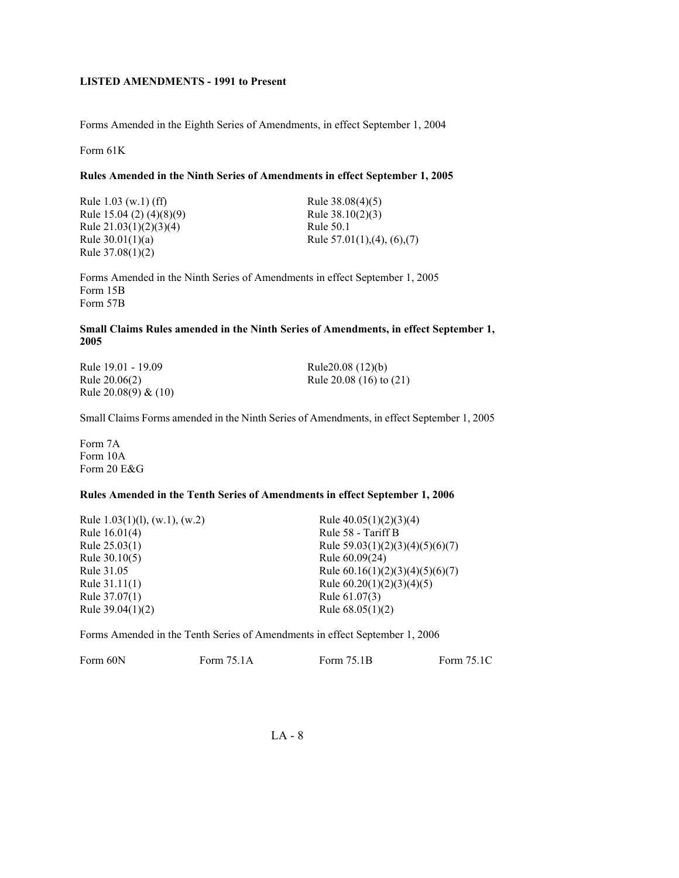Forms Amended in the Eighth Series of Amendments, in effect September 1, 2004

Form 61K

### **Rules Amended in the Ninth Series of Amendments in effect September 1, 2005**

Rule 1.03 (w.1) (ff) Rule 15.04 (2) (4)(8)(9) Rule 21.03(1)(2)(3)(4) Rule 30.01(1)(a) Rule 37.08(1)(2)

Rule 38.08(4)(5) Rule 38.10(2)(3) Rule 50.1 Rule 57.01(1),(4), (6),(7)

Forms Amended in the Ninth Series of Amendments in effect September 1, 2005 Form 15B Form 57B

### **Small Claims Rules amended in the Ninth Series of Amendments, in effect September 1, 2005**

Rule 19.01 - 19.09 Rule 20.06(2) Rule 20.08(9) & (10) Rule20.08 (12)(b) Rule 20.08 (16) to (21)

Small Claims Forms amended in the Ninth Series of Amendments, in effect September 1, 2005

Form 7A Form 10A Form 20 E&G

### **Rules Amended in the Tenth Series of Amendments in effect September 1, 2006**

| Rule $1.03(1)(1)$ , (w.1), (w.2) | Rule $40.05(1)(2)(3)(4)$          |
|----------------------------------|-----------------------------------|
| Rule 16.01(4)                    | Rule 58 - Tariff B                |
| Rule 25.03(1)                    | Rule $59.03(1)(2)(3)(4)(5)(6)(7)$ |
| Rule $30.10(5)$                  | Rule 60.09(24)                    |
| Rule 31.05                       | Rule $60.16(1)(2)(3)(4)(5)(6)(7)$ |
| Rule $31.11(1)$                  | Rule $60.20(1)(2)(3)(4)(5)$       |
| Rule 37.07(1)                    | Rule 61.07(3)                     |
| Rule $39.04(1)(2)$               | Rule $68.05(1)(2)$                |

Forms Amended in the Tenth Series of Amendments in effect September 1, 2006

| Form 60N | Form 75.1A | Form 75.1B | Form 75.1C |
|----------|------------|------------|------------|
|          |            |            |            |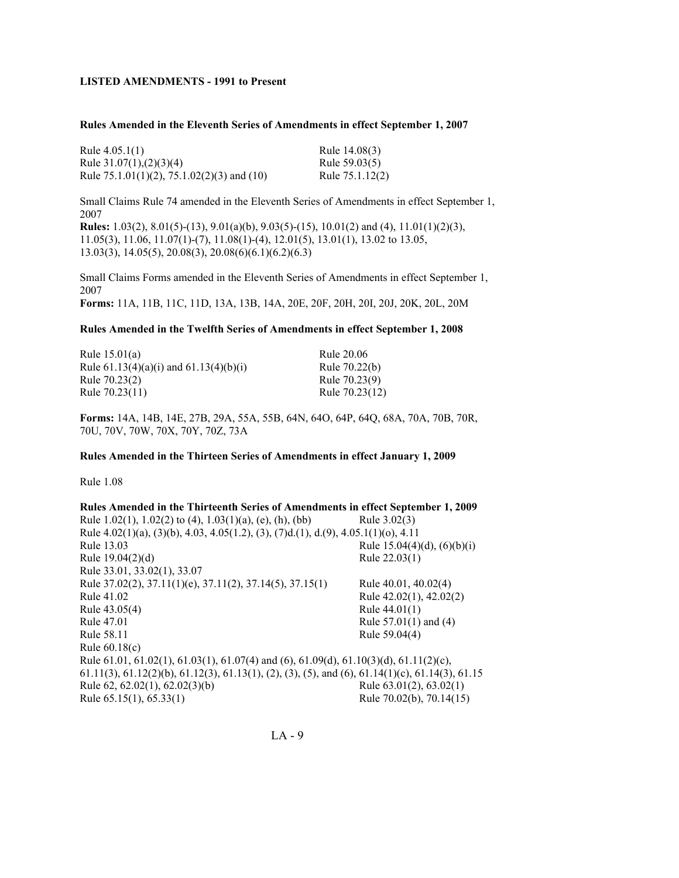#### **Rules Amended in the Eleventh Series of Amendments in effect September 1, 2007**

| Rule $4.05.1(1)$                                  | Rule 14.08(3)   |
|---------------------------------------------------|-----------------|
| Rule $31.07(1)$ , $(2)(3)(4)$                     | Rule 59.03(5)   |
| Rule $75.1.01(1)(2)$ , $75.1.02(2)(3)$ and $(10)$ | Rule 75.1.12(2) |

Small Claims Rule 74 amended in the Eleventh Series of Amendments in effect September 1, 2007

**Rules:** 1.03(2), 8.01(5)-(13), 9.01(a)(b), 9.03(5)-(15), 10.01(2) and (4), 11.01(1)(2)(3), 11.05(3), 11.06, 11.07(1)-(7), 11.08(1)-(4), 12.01(5), 13.01(1), 13.02 to 13.05, 13.03(3), 14.05(5), 20.08(3), 20.08(6)(6.1)(6.2)(6.3)

Small Claims Forms amended in the Eleventh Series of Amendments in effect September 1, 2007 **Forms:** 11A, 11B, 11C, 11D, 13A, 13B, 14A, 20E, 20F, 20H, 20I, 20J, 20K, 20L, 20M

### **Rules Amended in the Twelfth Series of Amendments in effect September 1, 2008**

| Rule 15.01(a)                              | Rule 20.06     |
|--------------------------------------------|----------------|
| Rule $61.13(4)(a)(i)$ and $61.13(4)(b)(i)$ | Rule 70.22(b)  |
| Rule 70.23(2)                              | Rule 70.23(9)  |
| Rule 70.23(11)                             | Rule 70.23(12) |

**Forms:** 14A, 14B, 14E, 27B, 29A, 55A, 55B, 64N, 64O, 64P, 64Q, 68A, 70A, 70B, 70R, 70U, 70V, 70W, 70X, 70Y, 70Z, 73A

#### **Rules Amended in the Thirteen Series of Amendments in effect January 1, 2009**

Rule 1.08

| Rules Amended in the Thirteenth Series of Amendments in effect September 1, 2009                                                |                                  |
|---------------------------------------------------------------------------------------------------------------------------------|----------------------------------|
| Rule 1.02(1), 1.02(2) to (4), 1.03(1)(a), (e), (h), (bb)                                                                        | Rule 3.02(3)                     |
| Rule 4.02(1)(a), (3)(b), 4.03, 4.05(1.2), (3), (7)d.(1), d.(9), 4.05.1(1)(o), 4.11                                              |                                  |
| Rule 13.03                                                                                                                      | Rule $15.04(4)(d)$ , $(6)(b)(i)$ |
| Rule 19.04(2)(d)                                                                                                                | Rule 22.03(1)                    |
| Rule 33.01, 33.02(1), 33.07                                                                                                     |                                  |
| Rule 37.02(2), 37.11(1)(e), 37.11(2), 37.14(5), 37.15(1)                                                                        | Rule 40.01, 40.02(4)             |
| Rule 41.02                                                                                                                      | Rule 42.02(1), 42.02(2)          |
| Rule 43.05(4)                                                                                                                   | Rule $44.01(1)$                  |
| Rule 47.01                                                                                                                      | Rule $57.01(1)$ and $(4)$        |
| Rule 58.11                                                                                                                      | Rule 59.04(4)                    |
| Rule $60.18(c)$                                                                                                                 |                                  |
| Rule 61.01, 61.02(1), 61.03(1), 61.07(4) and (6), 61.09(d), 61.10(3)(d), 61.11(2)(c),                                           |                                  |
| $61.11(3)$ , $61.12(2)(b)$ , $61.12(3)$ , $61.13(1)$ , $(2)$ , $(3)$ , $(5)$ , and $(6)$ , $61.14(1)(c)$ , $61.14(3)$ , $61.15$ |                                  |
| Rule 62, 62.02(1), 62.02(3)(b)                                                                                                  | Rule $63.01(2)$ , $63.02(1)$     |
| Rule 65.15(1), 65.33(1)                                                                                                         | Rule 70.02(b), 70.14(15)         |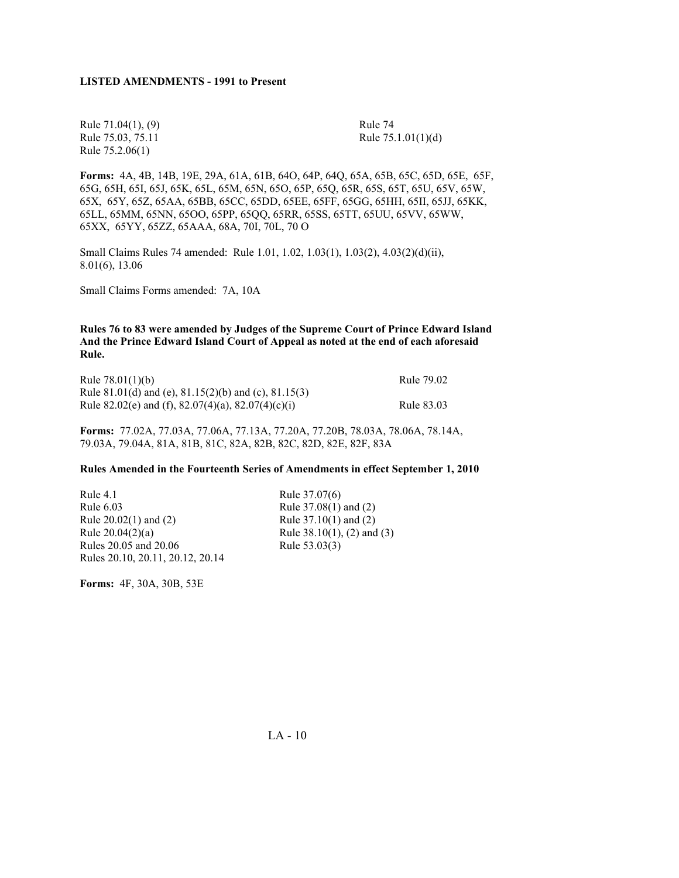Rule 71.04(1), (9) Rule 74 Rule 75.2.06(1)

Rule 75.03, 75.11 Rule 75.1.01(1)(d)

**Forms:** 4A, 4B, 14B, 19E, 29A, 61A, 61B, 64O, 64P, 64Q, 65A, 65B, 65C, 65D, 65E, 65F, 65G, 65H, 65I, 65J, 65K, 65L, 65M, 65N, 65O, 65P, 65Q, 65R, 65S, 65T, 65U, 65V, 65W, 65X, 65Y, 65Z, 65AA, 65BB, 65CC, 65DD, 65EE, 65FF, 65GG, 65HH, 65II, 65JJ, 65KK, 65LL, 65MM, 65NN, 65OO, 65PP, 65QQ, 65RR, 65SS, 65TT, 65UU, 65VV, 65WW, 65XX, 65YY, 65ZZ, 65AAA, 68A, 70I, 70L, 70 O

Small Claims Rules 74 amended:Rule 1.01, 1.02, 1.03(1), 1.03(2), 4.03(2)(d)(ii), 8.01(6), 13.06

Small Claims Forms amended: 7A, 10A

**Rules 76 to 83 were amended by Judges of the Supreme Court of Prince Edward Island And the Prince Edward Island Court of Appeal as noted at the end of each aforesaid Rule.** 

| Rule $78.01(1)(b)$                                   | Rule 79.02 |
|------------------------------------------------------|------------|
| Rule 81.01(d) and (e), 81.15(2)(b) and (c), 81.15(3) |            |
| Rule 82.02(e) and (f), 82.07(4)(a), 82.07(4)(c)(i)   | Rule 83.03 |

**Forms:** 77.02A, 77.03A, 77.06A, 77.13A, 77.20A, 77.20B, 78.03A, 78.06A, 78.14A, 79.03A, 79.04A, 81A, 81B, 81C, 82A, 82B, 82C, 82D, 82E, 82F, 83A

#### **Rules Amended in the Fourteenth Series of Amendments in effect September 1, 2010**

Rule 4.1 Rule 37.07(6) Rule 6.03 Rule 37.08(1) and (2) Rule 20.02(1) and (2) Rule 37.10(1) and (2) Rule 20.04(2)(a) Rule 38.10(1), (2) and (3) Rules 20.05 and 20.06 Rule 53.03(3) Rules 20.10, 20.11, 20.12, 20.14

**Forms:** 4F, 30A, 30B, 53E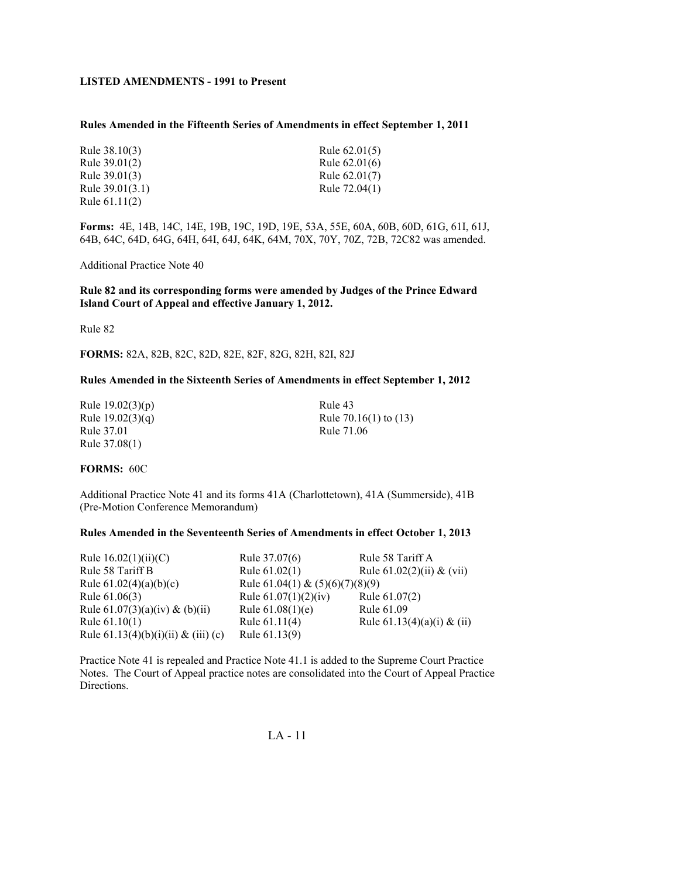#### **Rules Amended in the Fifteenth Series of Amendments in effect September 1, 2011**

| Rule 38.10(3)     | Rule $62.01(5)$ |
|-------------------|-----------------|
| Rule $39.01(2)$   | Rule $62.01(6)$ |
| Rule $39.01(3)$   | Rule $62.01(7)$ |
| Rule $39.01(3.1)$ | Rule 72.04(1)   |
| Rule $61.11(2)$   |                 |

**Forms:** 4E, 14B, 14C, 14E, 19B, 19C, 19D, 19E, 53A, 55E, 60A, 60B, 60D, 61G, 61I, 61J, 64B, 64C, 64D, 64G, 64H, 64I, 64J, 64K, 64M, 70X, 70Y, 70Z, 72B, 72C82 was amended.

Additional Practice Note 40

**Rule 82 and its corresponding forms were amended by Judges of the Prince Edward Island Court of Appeal and effective January 1, 2012.**

Rule 82

**FORMS:** 82A, 82B, 82C, 82D, 82E, 82F, 82G, 82H, 82I, 82J

#### **Rules Amended in the Sixteenth Series of Amendments in effect September 1, 2012**

| Rule $19.02(3)(p)$ |
|--------------------|
| Rule $19.02(3)(q)$ |
| Rule 37.01         |
| Rule 37.08(1)      |

Rule 43 Rule  $70.16(1)$  to  $(13)$ Rule 71.06

#### **FORMS:** 60C

Additional Practice Note 41 and its forms 41A (Charlottetown), 41A (Summerside), 41B (Pre-Motion Conference Memorandum)

#### **Rules Amended in the Seventeenth Series of Amendments in effect October 1, 2013**

| Rule $16.02(1)(ii)(C)$                 | Rule 37.07(6)                     | Rule 58 Tariff A              |
|----------------------------------------|-----------------------------------|-------------------------------|
| Rule 58 Tariff B                       | Rule $61.02(1)$                   | Rule $61.02(2)(ii)$ & $(vii)$ |
| Rule $61.02(4)(a)(b)(c)$               | Rule 61.04(1) & $(5)(6)(7)(8)(9)$ |                               |
| Rule $61.06(3)$                        | Rule $61.07(1)(2)(iv)$            | Rule 61.07(2)                 |
| Rule $61.07(3)(a)(iv)$ & $(b)(ii)$     | Rule $61.08(1)(e)$                | Rule 61.09                    |
| Rule $61.10(1)$                        | Rule $61.11(4)$                   | Rule $61.13(4)(a)(i)$ & (ii)  |
| Rule $61.13(4)(b)(i)(ii)$ & $(iii)(c)$ | Rule 61.13(9)                     |                               |

Practice Note 41 is repealed and Practice Note 41.1 is added to the Supreme Court Practice Notes. The Court of Appeal practice notes are consolidated into the Court of Appeal Practice Directions.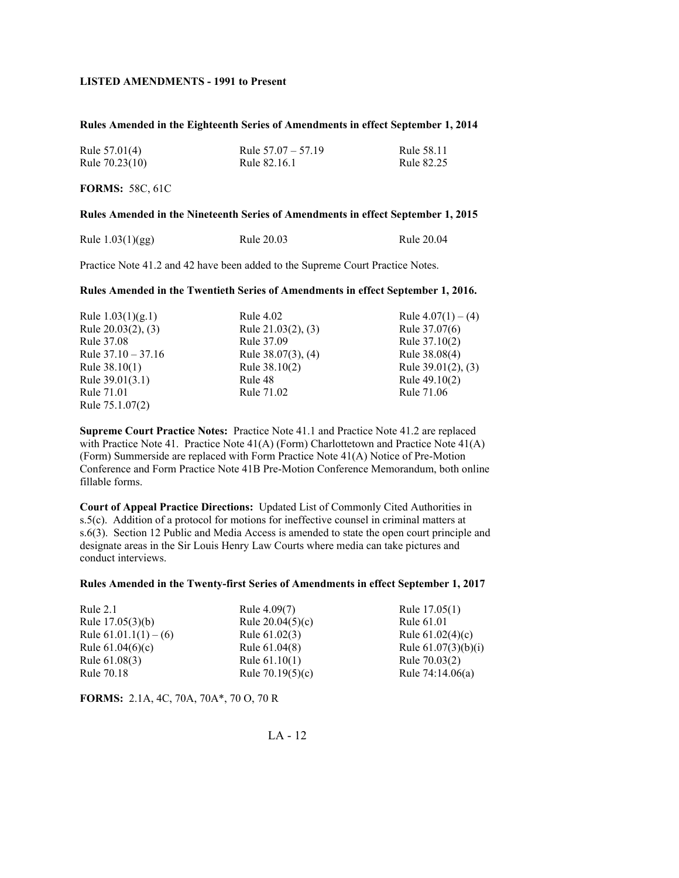#### **Rules Amended in the Eighteenth Series of Amendments in effect September 1, 2014**

| Rule $57.01(4)$ | Rule $57.07 - 57.19$ | Rule 58.11 |
|-----------------|----------------------|------------|
| Rule 70.23(10)  | Rule 82.16.1         | Rule 82.25 |

**FORMS:** 58C, 61C

#### **Rules Amended in the Nineteenth Series of Amendments in effect September 1, 2015**

| Rule $1.03(1)(gg)$ | Rule 20.03 | Rule 20.04 |
|--------------------|------------|------------|
|--------------------|------------|------------|

Practice Note 41.2 and 42 have been added to the Supreme Court Practice Notes.

### **Rules Amended in the Twentieth Series of Amendments in effect September 1, 2016.**

| Rule $1.03(1)(g.1)$     | Rule 4.02               | Rule $4.07(1) - (4)$  |
|-------------------------|-------------------------|-----------------------|
| Rule $20.03(2)$ , $(3)$ | Rule $21.03(2)$ , $(3)$ | Rule 37.07(6)         |
| Rule 37.08              | Rule 37.09              | Rule 37.10(2)         |
| Rule $37.10 - 37.16$    | Rule 38.07(3), (4)      | Rule 38.08(4)         |
| Rule $38.10(1)$         | Rule 38.10(2)           | Rule $39.01(2)$ , (3) |
| Rule $39.01(3.1)$       | Rule 48                 | Rule 49.10(2)         |
| Rule 71.01              | Rule 71.02              | Rule 71.06            |
| Rule 75.1.07(2)         |                         |                       |

**Supreme Court Practice Notes:** Practice Note 41.1 and Practice Note 41.2 are replaced with Practice Note 41. Practice Note 41(A) (Form) Charlottetown and Practice Note 41(A) (Form) Summerside are replaced with Form Practice Note 41(A) Notice of Pre-Motion Conference and Form Practice Note 41B Pre-Motion Conference Memorandum, both online fillable forms.

**Court of Appeal Practice Directions:** Updated List of Commonly Cited Authorities in s.5(c). Addition of a protocol for motions for ineffective counsel in criminal matters at s.6(3). Section 12 Public and Media Access is amended to state the open court principle and designate areas in the Sir Louis Henry Law Courts where media can take pictures and conduct interviews.

#### **Rules Amended in the Twenty-first Series of Amendments in effect September 1, 2017**

| Rule $2.1$              | Rule 4.09(7)       | Rule 17.05(1)         |
|-------------------------|--------------------|-----------------------|
| Rule $17.05(3)(b)$      | Rule $20.04(5)(c)$ | Rule 61.01            |
| Rule $61.01.1(1) - (6)$ | Rule 61.02(3)      | Rule $61.02(4)(c)$    |
| Rule $61.04(6)(c)$      | Rule 61.04(8)      | Rule $61.07(3)(b)(i)$ |
| Rule 61.08(3)           | Rule $61.10(1)$    | Rule 70.03(2)         |
| Rule 70.18              | Rule $70.19(5)(c)$ | Rule $74:14.06(a)$    |

**FORMS:** 2.1A, 4C, 70A, 70A\*, 70 O, 70 R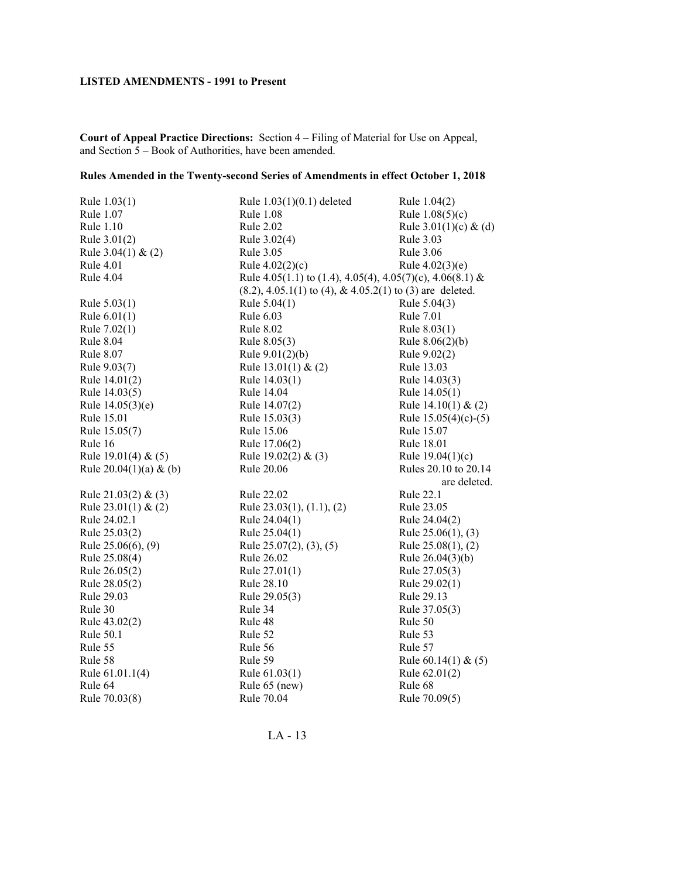**Court of Appeal Practice Directions:** Section 4 – Filing of Material for Use on Appeal, and Section 5 – Book of Authorities, have been amended.

# **Rules Amended in the Twenty-second Series of Amendments in effect October 1, 2018**

| Rule 1.03(1)             | Rule 1.03(1)(0.1) deleted                                       | Rule 1.04(2)            |
|--------------------------|-----------------------------------------------------------------|-------------------------|
| Rule 1.07                | Rule 1.08                                                       | Rule $1.08(5)(c)$       |
| Rule 1.10                | <b>Rule 2.02</b>                                                | Rule $3.01(1)(c)$ & (d) |
| Rule 3.01(2)             | Rule 3.02(4)                                                    | Rule 3.03               |
| Rule $3.04(1)$ & $(2)$   | <b>Rule 3.05</b>                                                | Rule 3.06               |
| <b>Rule 4.01</b>         | Rule $4.02(2)(c)$                                               | Rule $4.02(3)(e)$       |
| <b>Rule 4.04</b>         | Rule 4.05(1.1) to (1.4), 4.05(4), 4.05(7)(c), 4.06(8.1) &       |                         |
|                          | $(8.2), 4.05.1(1)$ to $(4), \& 4.05.2(1)$ to $(3)$ are deleted. |                         |
| Rule $5.03(1)$           | Rule $5.04(1)$                                                  | Rule 5.04(3)            |
| Rule $6.01(1)$           | Rule 6.03                                                       | <b>Rule 7.01</b>        |
| Rule 7.02(1)             | <b>Rule 8.02</b>                                                | Rule 8.03(1)            |
| Rule 8.04                | Rule 8.05(3)                                                    | Rule $8.06(2)(b)$       |
| Rule 8.07                | Rule $9.01(2)(b)$                                               | Rule 9.02(2)            |
| Rule 9.03(7)             | Rule $13.01(1)$ & $(2)$                                         | Rule 13.03              |
| Rule 14.01(2)            | Rule 14.03(1)                                                   | Rule 14.03(3)           |
| Rule 14.03(5)            | Rule 14.04                                                      | Rule 14.05(1)           |
| Rule $14.05(3)(e)$       | Rule 14.07(2)                                                   | Rule $14.10(1)$ & $(2)$ |
| Rule 15.01               | Rule 15.03(3)                                                   | Rule $15.05(4)(c)-(5)$  |
| Rule 15.05(7)            | Rule 15.06                                                      | Rule 15.07              |
| Rule 16                  | Rule 17.06(2)                                                   | Rule 18.01              |
| Rule $19.01(4)$ & $(5)$  | Rule $19.02(2)$ & (3)                                           | Rule $19.04(1)(c)$      |
| Rule $20.04(1)(a)$ & (b) | Rule 20.06                                                      | Rules 20.10 to 20.14    |
|                          |                                                                 | are deleted.            |
| Rule $21.03(2)$ & (3)    | Rule 22.02                                                      | Rule 22.1               |
| Rule $23.01(1)$ & $(2)$  | Rule $23.03(1)$ , $(1.1)$ , $(2)$                               | Rule 23.05              |
| Rule 24.02.1             | Rule 24.04(1)                                                   | Rule 24.04(2)           |
| Rule 25.03(2)            | Rule 25.04(1)                                                   | Rule $25.06(1)$ , $(3)$ |
| Rule $25.06(6)$ , $(9)$  | Rule $25.07(2)$ , $(3)$ , $(5)$                                 | Rule $25.08(1)$ , $(2)$ |
| Rule 25.08(4)            | Rule 26.02                                                      | Rule $26.04(3)(b)$      |
| Rule 26.05(2)            | Rule $27.01(1)$                                                 | Rule 27.05(3)           |
| Rule 28.05(2)            | Rule 28.10                                                      | Rule 29.02(1)           |
| Rule 29.03               | Rule 29.05(3)                                                   | Rule 29.13              |
| Rule 30                  | Rule 34                                                         | Rule 37.05(3)           |
| Rule 43.02(2)            | Rule 48                                                         | Rule 50                 |
| Rule 50.1                | Rule 52                                                         | Rule 53                 |
| Rule 55                  | Rule 56                                                         | Rule 57                 |
| Rule 58                  | Rule 59                                                         | Rule $60.14(1)$ & $(5)$ |
| Rule 61.01.1(4)          | Rule 61.03(1)                                                   | Rule 62.01(2)           |
| Rule 64                  | Rule 65 (new)                                                   | Rule 68                 |
| Rule 70.03(8)            | Rule 70.04                                                      | Rule 70.09(5)           |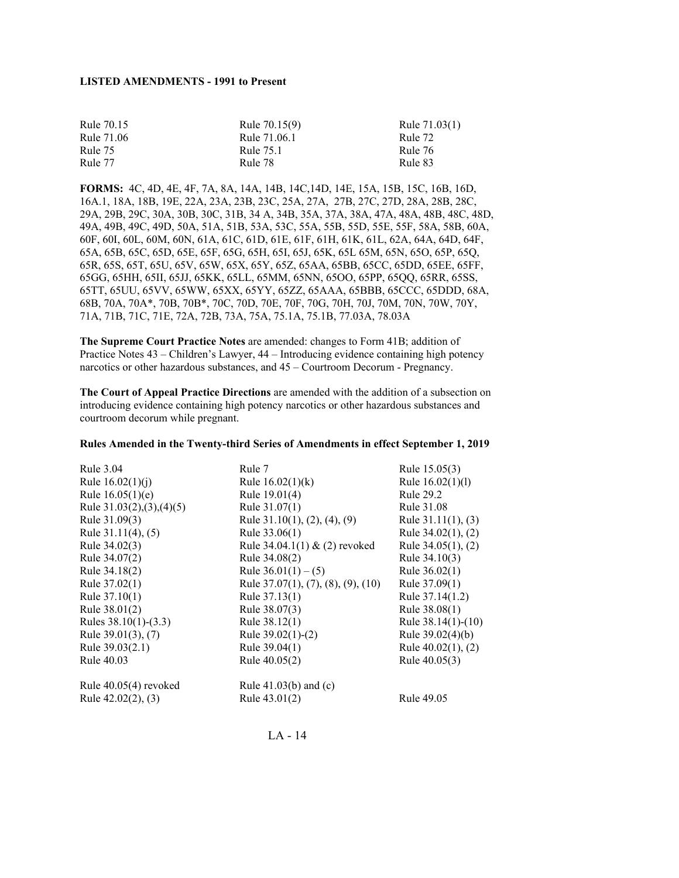| Rule 70.15 | Rule 70.15(9) | Rule 71.03(1) |
|------------|---------------|---------------|
| Rule 71.06 | Rule 71.06.1  | Rule 72       |
| Rule 75    | Rule 75.1     | Rule 76       |
| Rule 77    | Rule 78       | Rule 83       |

**FORMS:** 4C, 4D, 4E, 4F, 7A, 8A, 14A, 14B, 14C,14D, 14E, 15A, 15B, 15C, 16B, 16D, 16A.1, 18A, 18B, 19E, 22A, 23A, 23B, 23C, 25A, 27A, 27B, 27C, 27D, 28A, 28B, 28C, 29A, 29B, 29C, 30A, 30B, 30C, 31B, 34 A, 34B, 35A, 37A, 38A, 47A, 48A, 48B, 48C, 48D, 49A, 49B, 49C, 49D, 50A, 51A, 51B, 53A, 53C, 55A, 55B, 55D, 55E, 55F, 58A, 58B, 60A, 60F, 60I, 60L, 60M, 60N, 61A, 61C, 61D, 61E, 61F, 61H, 61K, 61L, 62A, 64A, 64D, 64F, 65A, 65B, 65C, 65D, 65E, 65F, 65G, 65H, 65I, 65J, 65K, 65L 65M, 65N, 65O, 65P, 65Q, 65R, 65S, 65T, 65U, 65V, 65W, 65X, 65Y, 65Z, 65AA, 65BB, 65CC, 65DD, 65EE, 65FF, 65GG, 65HH, 65II, 65JJ, 65KK, 65LL, 65MM, 65NN, 65OO, 65PP, 65QQ, 65RR, 65SS, 65TT, 65UU, 65VV, 65WW, 65XX, 65YY, 65ZZ, 65AAA, 65BBB, 65CCC, 65DDD, 68A, 68B, 70A, 70A\*, 70B, 70B\*, 70C, 70D, 70E, 70F, 70G, 70H, 70J, 70M, 70N, 70W, 70Y, 71A, 71B, 71C, 71E, 72A, 72B, 73A, 75A, 75.1A, 75.1B, 77.03A, 78.03A

**The Supreme Court Practice Notes** are amended: changes to Form 41B; addition of Practice Notes 43 – Children's Lawyer, 44 – Introducing evidence containing high potency narcotics or other hazardous substances, and 45 – Courtroom Decorum - Pregnancy.

**The Court of Appeal Practice Directions** are amended with the addition of a subsection on introducing evidence containing high potency narcotics or other hazardous substances and courtroom decorum while pregnant.

#### **Rules Amended in the Twenty-third Series of Amendments in effect September 1, 2019**

| Rule 3.04                  | Rule 7                                  | Rule 15.05(3)           |
|----------------------------|-----------------------------------------|-------------------------|
| Rule $16.02(1)(i)$         | Rule $16.02(1)(k)$                      | Rule 16.02(1)(1)        |
| Rule $16.05(1)(e)$         | Rule 19.01(4)                           | Rule 29.2               |
| Rule $31.03(2),(3),(4)(5)$ | Rule $31.07(1)$                         | Rule 31.08              |
| Rule 31.09(3)              | Rule $31.10(1)$ , $(2)$ , $(4)$ , $(9)$ | Rule $31.11(1)$ , $(3)$ |
| Rule $31.11(4)$ , $(5)$    | Rule 33.06(1)                           | Rule $34.02(1)$ , $(2)$ |
| Rule 34.02(3)              | Rule $34.04.1(1)$ & (2) revoked         | Rule $34.05(1)$ , $(2)$ |
| Rule 34.07(2)              | Rule 34.08(2)                           | Rule 34.10(3)           |
| Rule 34.18(2)              | Rule $36.01(1) - (5)$                   | Rule $36.02(1)$         |
| Rule 37.02(1)              | Rule 37.07(1), (7), (8), (9), (10)      | Rule 37.09(1)           |
| Rule $37.10(1)$            | Rule 37.13(1)                           | Rule 37.14(1.2)         |
| Rule 38.01(2)              | Rule 38.07(3)                           | Rule 38.08(1)           |
| Rules $38.10(1)$ - $(3.3)$ | Rule 38.12(1)                           | Rule $38.14(1)-(10)$    |
| Rule 39.01(3), (7)         | Rule $39.02(1)-(2)$                     | Rule $39.02(4)(b)$      |
| Rule 39.03(2.1)            | Rule 39.04(1)                           | Rule $40.02(1)$ , $(2)$ |
| Rule 40.03                 | Rule 40.05(2)                           | Rule 40.05(3)           |
| Rule $40.05(4)$ revoked    | Rule $41.03(b)$ and (c)                 |                         |
| Rule $42.02(2)$ , $(3)$    | Rule 43.01(2)                           | Rule 49.05              |
|                            |                                         |                         |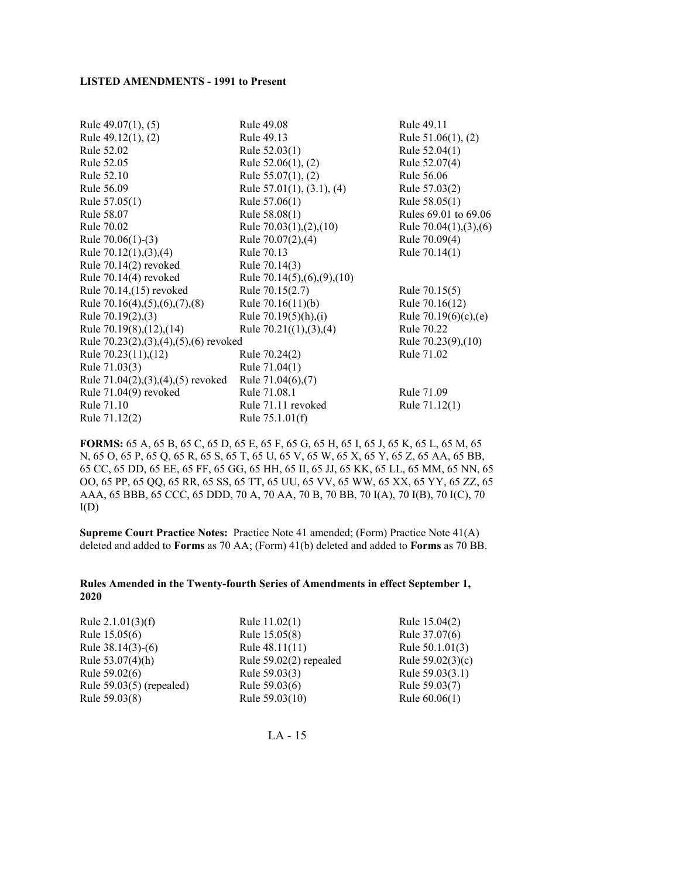| Rule $49.07(1)$ , $(5)$                         | Rule 49.08                        | Rule 49.11                |
|-------------------------------------------------|-----------------------------------|---------------------------|
| Rule $49.12(1)$ , $(2)$                         | Rule 49.13                        | Rule $51.06(1)$ , (2)     |
| Rule 52.02                                      | Rule 52.03(1)                     | Rule 52.04(1)             |
| Rule 52.05                                      | Rule $52.06(1)$ , $(2)$           | Rule 52.07(4)             |
| Rule 52.10                                      | Rule $55.07(1)$ , (2)             | Rule 56.06                |
| Rule 56.09                                      | Rule $57.01(1)$ , $(3.1)$ , $(4)$ | Rule 57.03(2)             |
| Rule 57.05(1)                                   | Rule $57.06(1)$                   | Rule 58.05(1)             |
| Rule 58.07                                      | Rule 58.08(1)                     | Rules 69.01 to 69.06      |
| Rule 70.02                                      | Rule $70.03(1)$ , $(2)$ , $(10)$  | Rule $70.04(1), (3), (6)$ |
| Rule $70.06(1)-(3)$                             | Rule 70.07(2),(4)                 | Rule 70.09(4)             |
| Rule $70.12(1), (3), (4)$                       | Rule 70.13                        | Rule 70.14(1)             |
| Rule 70.14(2) revoked                           | Rule 70.14(3)                     |                           |
| Rule 70.14(4) revoked                           | Rule 70.14(5),(6),(9),(10)        |                           |
| Rule 70.14, (15) revoked                        | Rule 70.15(2.7)                   | Rule 70.15(5)             |
| Rule $70.16(4)$ , $(5)$ , $(6)$ , $(7)$ , $(8)$ | Rule 70.16(11)(b)                 | Rule 70.16(12)            |
| Rule $70.19(2)$ , (3)                           | Rule $70.19(5)(h),(i)$            | Rule $70.19(6)(c)$ , (e)  |
| Rule 70.19(8), (12), (14)                       | Rule $70.21((1),(3),(4)$          | Rule 70.22                |
| Rule $70.23(2),(3),(4),(5),(6)$ revoked         |                                   | Rule 70.23(9), (10)       |
| Rule 70.23(11),(12)                             | Rule 70.24(2)                     | Rule 71.02                |
| Rule 71.03(3)                                   | Rule 71.04(1)                     |                           |
| Rule $71.04(2), (3), (4), (5)$ revoked          | Rule $71.04(6)$ , $(7)$           |                           |
| Rule 71.04(9) revoked                           | Rule 71.08.1                      | Rule 71.09                |
| Rule 71.10                                      | Rule 71.11 revoked                | Rule 71.12(1)             |
| Rule 71.12(2)                                   | Rule $75.1.01(f)$                 |                           |

**FORMS:** 65 A, 65 B, 65 C, 65 D, 65 E, 65 F, 65 G, 65 H, 65 I, 65 J, 65 K, 65 L, 65 M, 65 N, 65 O, 65 P, 65 Q, 65 R, 65 S, 65 T, 65 U, 65 V, 65 W, 65 X, 65 Y, 65 Z, 65 AA, 65 BB, 65 CC, 65 DD, 65 EE, 65 FF, 65 GG, 65 HH, 65 II, 65 JJ, 65 KK, 65 LL, 65 MM, 65 NN, 65 OO, 65 PP, 65 QQ, 65 RR, 65 SS, 65 TT, 65 UU, 65 VV, 65 WW, 65 XX, 65 YY, 65 ZZ, 65 AAA, 65 BBB, 65 CCC, 65 DDD, 70 A, 70 AA, 70 B, 70 BB, 70 I(A), 70 I(B), 70 I(C), 70  $I(D)$ 

**Supreme Court Practice Notes:** Practice Note 41 amended; (Form) Practice Note 41(A) deleted and added to **Forms** as 70 AA; (Form) 41(b) deleted and added to **Forms** as 70 BB.

### **Rules Amended in the Twenty-fourth Series of Amendments in effect September 1, 2020**

| Rule $2.1.01(3)(f)$        | Rule 11.02(1)            | Rule 15.04(2)      |
|----------------------------|--------------------------|--------------------|
| Rule 15.05(6)              | Rule 15.05(8)            | Rule 37.07(6)      |
| Rule $38.14(3)-(6)$        | Rule $48.11(11)$         | Rule $50.1.01(3)$  |
| Rule $53.07(4)$ (h)        | Rule $59.02(2)$ repealed | Rule $59.02(3)(c)$ |
| Rule 59.02(6)              | Rule 59.03(3)            | Rule 59.03(3.1)    |
| Rule $59.03(5)$ (repealed) | Rule 59.03(6)            | Rule 59.03(7)      |
| Rule 59.03(8)              | Rule 59.03(10)           | Rule $60.06(1)$    |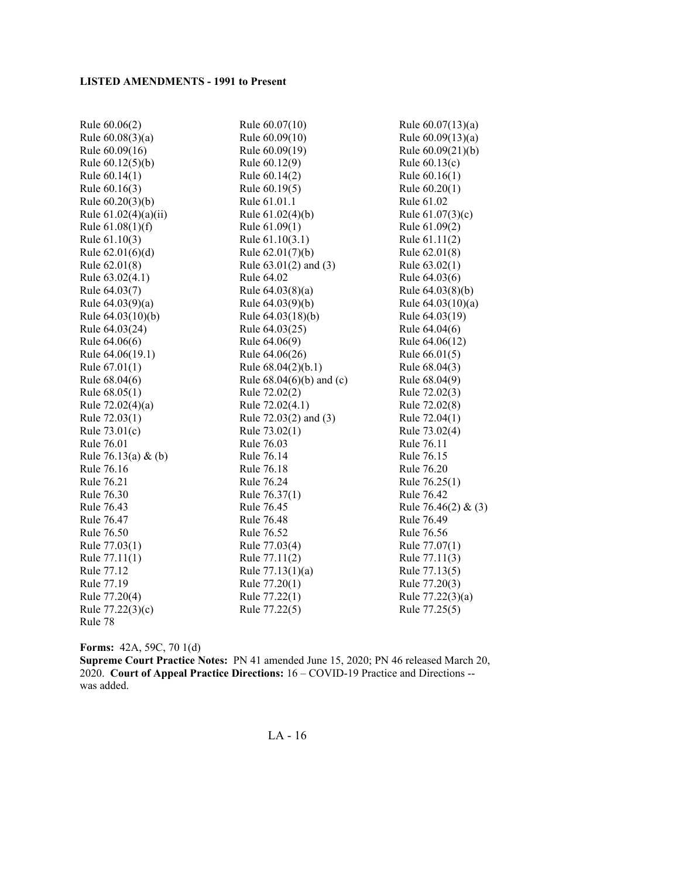| Rule 60.06(2)          | Rule 60.07(10)             | Rule $60.07(13)(a)$ |
|------------------------|----------------------------|---------------------|
| Rule $60.08(3)(a)$     | Rule 60.09(10)             | Rule $60.09(13)(a)$ |
| Rule 60.09(16)         | Rule 60.09(19)             | Rule 60.09(21)(b)   |
| Rule $60.12(5)(b)$     | Rule 60.12(9)              | Rule $60.13(c)$     |
| Rule 60.14(1)          | Rule 60.14(2)              | Rule 60.16(1)       |
| Rule 60.16(3)          | Rule 60.19(5)              | Rule 60.20(1)       |
| Rule $60.20(3)(b)$     | Rule 61.01.1               | Rule 61.02          |
| Rule $61.02(4)(a)(ii)$ | Rule 61.02(4)(b)           | Rule $61.07(3)(c)$  |
| Rule $61.08(1)(f)$     | Rule 61.09(1)              | Rule 61.09(2)       |
| Rule 61.10(3)          | Rule 61.10(3.1)            | Rule 61.11(2)       |
| Rule $62.01(6)(d)$     | Rule $62.01(7)(b)$         | Rule 62.01(8)       |
| Rule 62.01(8)          | Rule $63.01(2)$ and $(3)$  | Rule $63.02(1)$     |
| Rule 63.02(4.1)        | Rule 64.02                 | Rule 64.03(6)       |
| Rule 64.03(7)          | Rule 64.03(8)(a)           | Rule 64.03(8)(b)    |
| Rule $64.03(9)(a)$     | Rule 64.03(9)(b)           | Rule 64.03(10)(a)   |
| Rule 64.03(10)(b)      | Rule 64.03(18)(b)          | Rule 64.03(19)      |
| Rule 64.03(24)         | Rule 64.03(25)             | Rule 64.04(6)       |
| Rule 64.06(6)          | Rule 64.06(9)              | Rule 64.06(12)      |
| Rule 64.06(19.1)       | Rule 64.06(26)             | Rule $66.01(5)$     |
| Rule 67.01(1)          | Rule 68.04(2)(b.1)         | Rule 68.04(3)       |
| Rule 68.04(6)          | Rule $68.04(6)(b)$ and (c) | Rule 68.04(9)       |
| Rule 68.05(1)          | Rule 72.02(2)              | Rule 72.02(3)       |
| Rule $72.02(4)(a)$     | Rule 72.02(4.1)            | Rule 72.02(8)       |
| Rule 72.03(1)          | Rule 72.03(2) and (3)      | Rule 72.04(1)       |
| Rule 73.01(c)          | Rule 73.02(1)              | Rule 73.02(4)       |
| Rule 76.01             | Rule 76.03                 | Rule 76.11          |
| Rule 76.13(a) & (b)    | Rule 76.14                 | Rule 76.15          |
| Rule 76.16             | Rule 76.18                 | Rule 76.20          |
| Rule 76.21             | Rule 76.24                 | Rule 76.25(1)       |
| Rule 76.30             | Rule 76.37(1)              | Rule 76.42          |
| Rule 76.43             | Rule 76.45                 | Rule 76.46(2) & (3) |
| Rule 76.47             | Rule 76.48                 | Rule 76.49          |
| Rule 76.50             | Rule 76.52                 | Rule 76.56          |
| Rule 77.03(1)          | Rule 77.03(4)              | Rule 77.07(1)       |
| Rule 77.11(1)          | Rule 77.11(2)              | Rule 77.11(3)       |
| Rule 77.12             | Rule $77.13(1)(a)$         | Rule 77.13(5)       |
| Rule 77.19             | Rule 77.20(1)              | Rule 77.20(3)       |
| Rule 77.20(4)          | Rule 77.22(1)              | Rule 77.22(3)(a)    |
| Rule 77.22(3)(c)       | Rule 77.22(5)              | Rule 77.25(5)       |
| Rule 78                |                            |                     |

**Forms:** 42A, 59C, 70 1(d)

**Supreme Court Practice Notes:** PN 41 amended June 15, 2020; PN 46 released March 20, 2020. **Court of Appeal Practice Directions:** 16 – COVID-19 Practice and Directions - was added.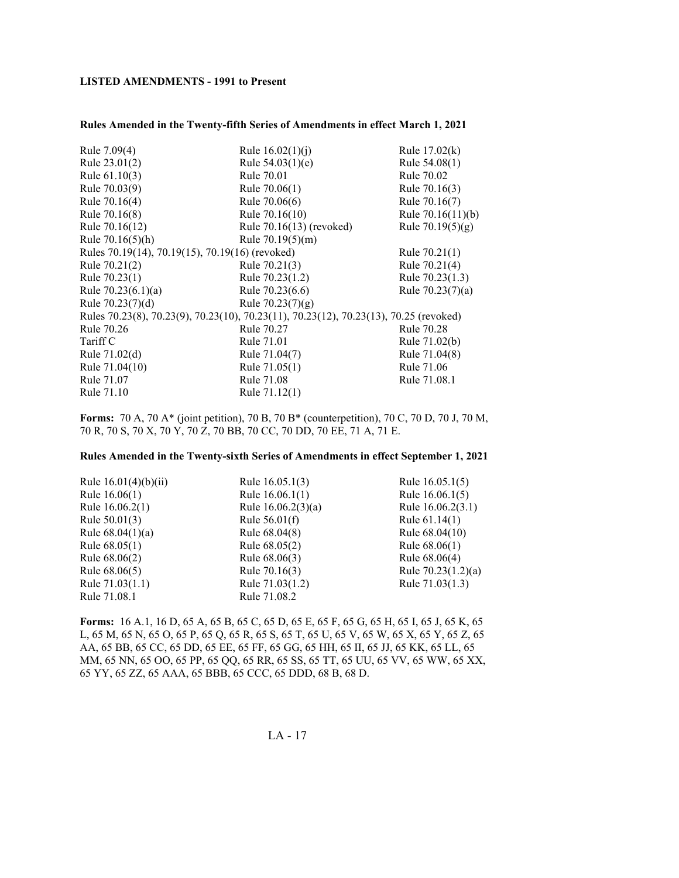#### **Rules Amended in the Twenty-fifth Series of Amendments in effect March 1, 2021**

| Rule 7.09(4)                                                                          | Rule $16.02(1)(i)$         | Rule $17.02(k)$     |  |
|---------------------------------------------------------------------------------------|----------------------------|---------------------|--|
| Rule 23.01(2)                                                                         | Rule $54.03(1)(e)$         | Rule 54.08(1)       |  |
| Rule 61.10(3)                                                                         | Rule 70.01                 | Rule 70.02          |  |
| Rule 70.03(9)                                                                         | Rule 70.06(1)              | Rule 70.16(3)       |  |
| Rule 70.16(4)                                                                         | Rule 70.06(6)              | Rule 70.16(7)       |  |
| Rule 70.16(8)                                                                         | Rule 70.16(10)             | Rule $70.16(11)(b)$ |  |
| Rule 70.16(12)                                                                        | Rule $70.16(13)$ (revoked) | Rule $70.19(5)(g)$  |  |
| Rule $70.16(5)(h)$                                                                    | Rule $70.19(5)(m)$         |                     |  |
| Rules 70.19(14), 70.19(15), 70.19(16) (revoked)                                       |                            | Rule $70.21(1)$     |  |
| Rule 70.21(2)                                                                         | Rule 70.21(3)              | Rule 70.21(4)       |  |
| Rule 70.23(1)                                                                         | Rule 70.23(1.2)            | Rule 70.23(1.3)     |  |
| Rule $70.23(6.1)(a)$                                                                  | Rule 70.23(6.6)            | Rule $70.23(7)(a)$  |  |
| Rule $70.23(7)(d)$                                                                    | Rule $70.23(7)(g)$         |                     |  |
| Rules 70.23(8), 70.23(9), 70.23(10), 70.23(11), 70.23(12), 70.23(13), 70.25 (revoked) |                            |                     |  |
| Rule 70.26                                                                            | Rule 70.27                 | Rule 70.28          |  |
| Tariff C                                                                              | Rule 71.01                 | Rule 71.02(b)       |  |
| Rule 71.02(d)                                                                         | Rule 71.04(7)              | Rule 71.04(8)       |  |
| Rule 71.04(10)                                                                        | Rule 71.05(1)              | Rule 71.06          |  |
| Rule 71.07                                                                            | Rule 71.08                 | Rule 71.08.1        |  |
| Rule 71.10                                                                            | Rule 71.12(1)              |                     |  |
|                                                                                       |                            |                     |  |

**Forms:** 70 A, 70 A\* (joint petition), 70 B, 70 B\* (counterpetition), 70 C, 70 D, 70 J, 70 M, 70 R, 70 S, 70 X, 70 Y, 70 Z, 70 BB, 70 CC, 70 DD, 70 EE, 71 A, 71 E.

#### **Rules Amended in the Twenty-sixth Series of Amendments in effect September 1, 2021**

| Rule $16.01(4)(b)(ii)$ | Rule 16.05.1(3)      | Rule 16.05.1(5)      |
|------------------------|----------------------|----------------------|
| Rule $16.06(1)$        | Rule $16.06.1(1)$    | Rule $16.06.1(5)$    |
| Rule 16.06.2(1)        | Rule $16.06.2(3)(a)$ | Rule 16.06.2(3.1)    |
| Rule $50.01(3)$        | Rule $56.01(f)$      | Rule $61.14(1)$      |
| Rule $68.04(1)(a)$     | Rule 68.04(8)        | Rule 68.04(10)       |
| Rule $68.05(1)$        | Rule 68.05(2)        | Rule $68.06(1)$      |
| Rule 68.06(2)          | Rule 68.06(3)        | Rule 68.06(4)        |
| Rule 68.06(5)          | Rule 70.16(3)        | Rule $70.23(1.2)(a)$ |
| Rule 71.03(1.1)        | Rule 71.03(1.2)      | Rule 71.03(1.3)      |
| Rule 71.08.1           | Rule 71.08.2         |                      |

**Forms:** 16 A.1, 16 D, 65 A, 65 B, 65 C, 65 D, 65 E, 65 F, 65 G, 65 H, 65 I, 65 J, 65 K, 65 L, 65 M, 65 N, 65 O, 65 P, 65 Q, 65 R, 65 S, 65 T, 65 U, 65 V, 65 W, 65 X, 65 Y, 65 Z, 65 AA, 65 BB, 65 CC, 65 DD, 65 EE, 65 FF, 65 GG, 65 HH, 65 II, 65 JJ, 65 KK, 65 LL, 65 MM, 65 NN, 65 OO, 65 PP, 65 QQ, 65 RR, 65 SS, 65 TT, 65 UU, 65 VV, 65 WW, 65 XX, 65 YY, 65 ZZ, 65 AAA, 65 BBB, 65 CCC, 65 DDD, 68 B, 68 D.